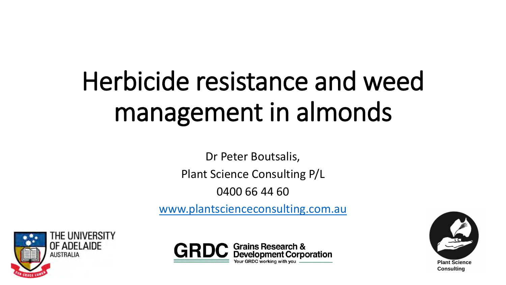# Herbicide resistance and weed management in almonds

Dr Peter Boutsalis, Plant Science Consulting P/L

0400 66 44 60

[www.plantscienceconsulting.com.au](http://www.plantscienceconsulting.com.au/)





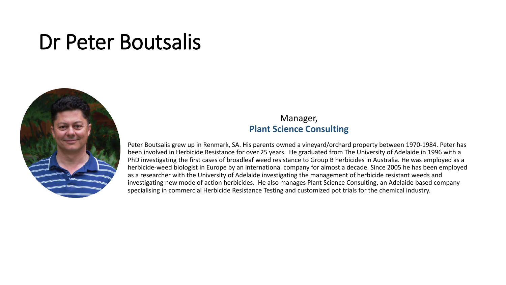#### Dr Peter Boutsalis



#### Manager, **Plant Science Consulting**

Peter Boutsalis grew up in Renmark, SA. His parents owned a vineyard/orchard property between 1970-1984. Peter has been involved in Herbicide Resistance for over 25 years. He graduated from The University of Adelaide in 1996 with a PhD investigating the first cases of broadleaf weed resistance to Group B herbicides in Australia. He was employed as a herbicide-weed biologist in Europe by an international company for almost a decade. Since 2005 he has been employed as a researcher with the University of Adelaide investigating the management of herbicide resistant weeds and investigating new mode of action herbicides. He also manages Plant Science Consulting, an Adelaide based company specialising in commercial Herbicide Resistance Testing and customized pot trials for the chemical industry.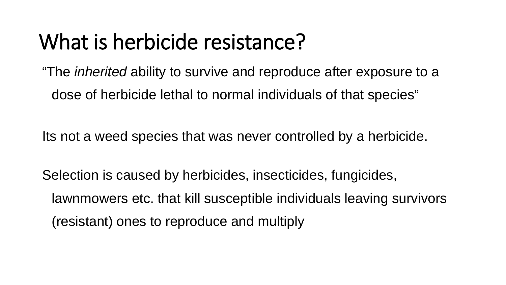#### What is herbicide resistance?

"The *inherited* ability to survive and reproduce after exposure to a dose of herbicide lethal to normal individuals of that species"

Its not a weed species that was never controlled by a herbicide.

Selection is caused by herbicides, insecticides, fungicides, lawnmowers etc. that kill susceptible individuals leaving survivors (resistant) ones to reproduce and multiply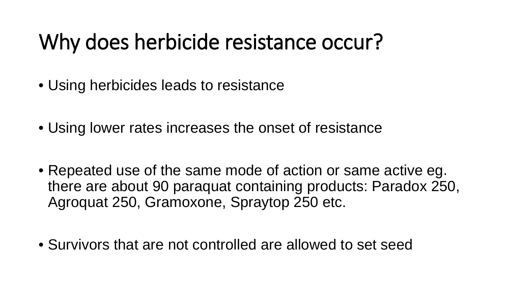#### Why does herbicide resistance occur?

- Using herbicides leads to resistance
- Using lower rates increases the onset of resistance
- Repeated use of the same mode of action or same active eg. there are about 90 paraquat containing products: Paradox 250, Agroquat 250, Gramoxone, Spraytop 250 etc.
- Survivors that are not controlled are allowed to set seed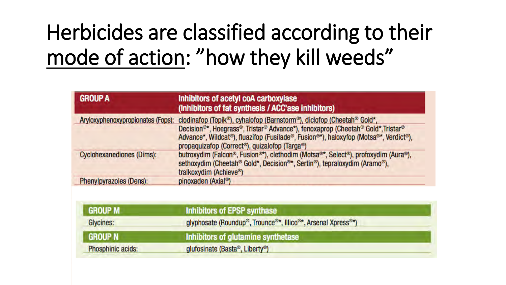## Herbicides are classified according to their mode of action: "how they kill weeds"

| <b>GROUP A</b>                   | Inhibitors of acetyl coA carboxylase<br>(Inhibitors of fat synthesis / ACC'ase inhibitors)                                                                                                                                                                                                                                                                                               |
|----------------------------------|------------------------------------------------------------------------------------------------------------------------------------------------------------------------------------------------------------------------------------------------------------------------------------------------------------------------------------------------------------------------------------------|
|                                  | Aryloxyphenoxypropionates (Fops): clodinafop (Topik <sup>®</sup> ), cyhalofop (Barnstorm®), diclofop (Cheetah® Gold*,<br>Decision <sup>®*</sup> , Hoegrass®, Tristar® Advance*), fenoxaprop (Cheetah® Gold*, Tristar®<br>Advance*, Wildcat®), fluazifop (Fusilade®, Fusion®*), haloxyfop (Motsa®*, Verdict®),<br>propaquizafop (Correct <sup>®</sup> ), quizalofop (Targa <sup>®</sup> ) |
| <b>Cyclohexanediones (Dims):</b> | butroxydim (Falcon®, Fusion®*), clethodim (Motsa®*, Select®), profoxydim (Aura®),<br>sethoxydim (Cheetah® Gold*, Decision®*, Sertin®), tepraloxydim (Aramo®),<br>tralkoxydim (Achieve®)                                                                                                                                                                                                  |
| Phenylpyrazoles (Dens):          | pinoxaden (Axial <sup>®</sup> )                                                                                                                                                                                                                                                                                                                                                          |

| <b>GROUP M</b>    | Inhibitors of EPSP synthase                                                                                      |  |
|-------------------|------------------------------------------------------------------------------------------------------------------|--|
| Glycines:         | glyphosate (Roundup <sup>®</sup> , Trounce <sup>®*</sup> , Illico <sup>®*</sup> , Arsenal Xpress <sup>®*</sup> ) |  |
| <b>GROUP N</b>    | Inhibitors of glutamine synthetase                                                                               |  |
| Phosphinic acids: | glufosinate (Basta®, Liberty®)                                                                                   |  |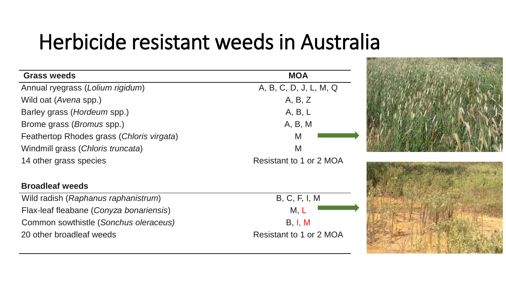#### Herbicide resistant weeds in Australia

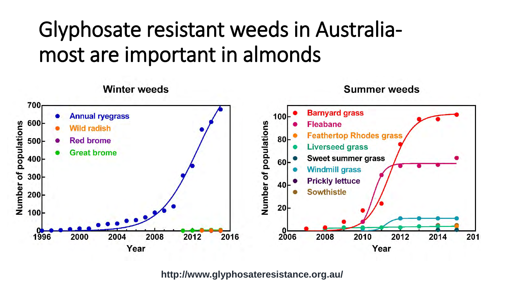## Glyphosate resistant weeds in Australiamost are important in almonds



**http://www.glyphosateresistance.org.au/**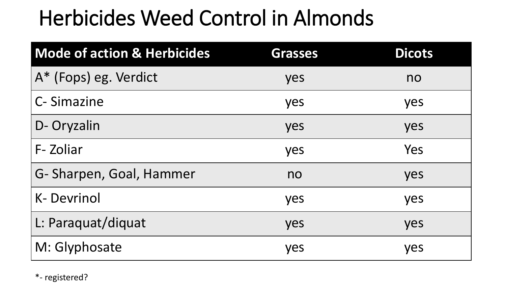### Herbicides Weed Control in Almonds

| <b>Mode of action &amp; Herbicides</b> | <b>Grasses</b> | <b>Dicots</b> |
|----------------------------------------|----------------|---------------|
| A* (Fops) eg. Verdict                  | yes            | no            |
| C-Simazine                             | yes            | yes           |
| D- Oryzalin                            | yes            | yes           |
| F-Zoliar                               | yes            | Yes           |
| G- Sharpen, Goal, Hammer               | no             | yes           |
| <b>K-Devrinol</b>                      | yes            | yes           |
| L: Paraquat/diquat                     | yes            | yes           |
| M: Glyphosate                          | yes            | yes           |

\*- registered?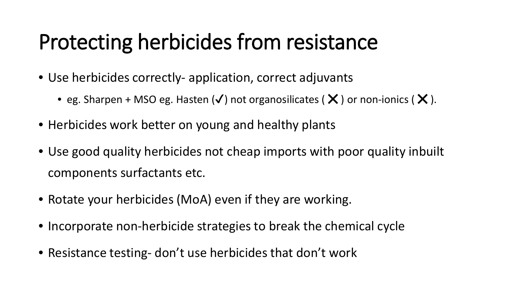## Protecting herbicides from resistance

- Use herbicides correctly- application, correct adjuvants
	- eg. Sharpen + MSO eg. Hasten  $(\checkmark)$  not organosilicates ( $\checkmark$ ) or non-ionics ( $\checkmark$ ).
- Herbicides work better on young and healthy plants
- Use good quality herbicides not cheap imports with poor quality inbuilt components surfactants etc.
- Rotate your herbicides (MoA) even if they are working.
- Incorporate non-herbicide strategies to break the chemical cycle
- Resistance testing- don't use herbicides that don't work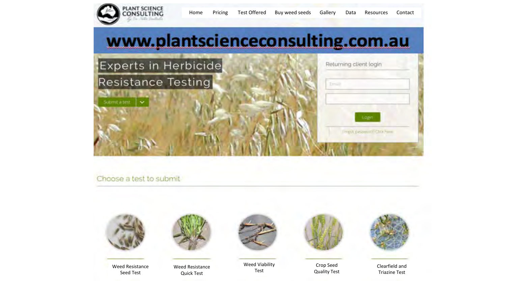

#### Choose a test to submit



Weed Resistance Seed Test



Weed Resistance Quick Test



Weed Viability Test



Crop Seed Quality Test



Clearfield and Triazine Test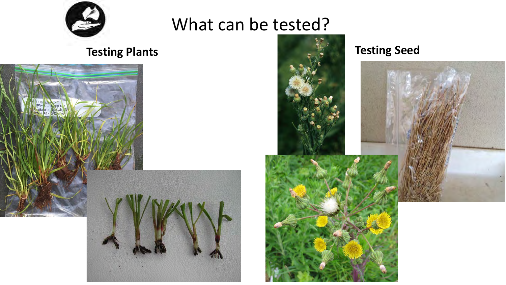

#### What can be tested?



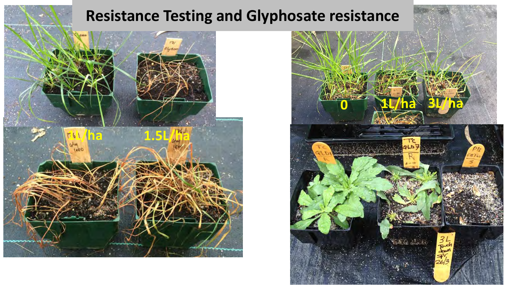#### **Resistance Testing and Glyphosate resistance**



![](_page_11_Picture_2.jpeg)